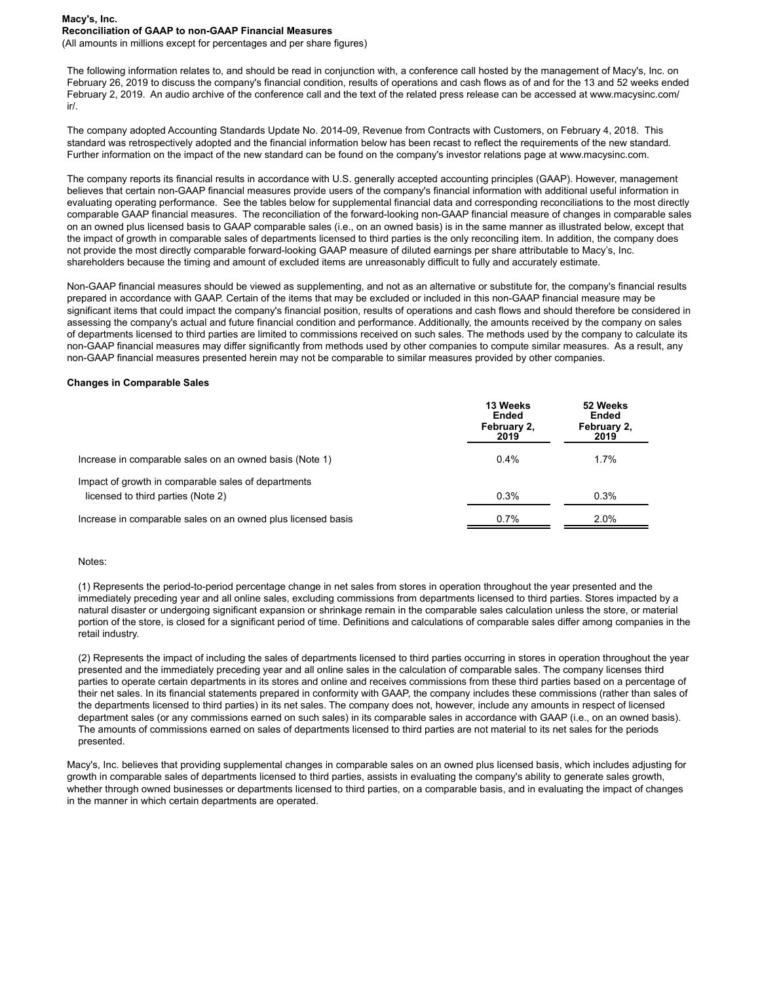(All amounts in millions except for percentages and per share figures)

The following information relates to, and should be read in conjunction with, a conference call hosted by the management of Macy's, Inc. on February 26, 2019 to discuss the company's financial condition, results of operations and cash flows as of and for the 13 and 52 weeks ended February 2, 2019. An audio archive of the conference call and the text of the related press release can be accessed at www.macysinc.com/ ir/.

The company adopted Accounting Standards Update No. 2014-09, Revenue from Contracts with Customers, on February 4, 2018. This standard was retrospectively adopted and the financial information below has been recast to reflect the requirements of the new standard. Further information on the impact of the new standard can be found on the company's investor relations page at www.macysinc.com.

The company reports its financial results in accordance with U.S. generally accepted accounting principles (GAAP). However, management believes that certain non-GAAP financial measures provide users of the company's financial information with additional useful information in evaluating operating performance. See the tables below for supplemental financial data and corresponding reconciliations to the most directly comparable GAAP financial measures. The reconciliation of the forward-looking non-GAAP financial measure of changes in comparable sales on an owned plus licensed basis to GAAP comparable sales (i.e., on an owned basis) is in the same manner as illustrated below, except that the impact of growth in comparable sales of departments licensed to third parties is the only reconciling item. In addition, the company does not provide the most directly comparable forward-looking GAAP measure of diluted earnings per share attributable to Macy's, Inc. shareholders because the timing and amount of excluded items are unreasonably difficult to fully and accurately estimate.

Non-GAAP financial measures should be viewed as supplementing, and not as an alternative or substitute for, the company's financial results prepared in accordance with GAAP. Certain of the items that may be excluded or included in this non-GAAP financial measure may be significant items that could impact the company's financial position, results of operations and cash flows and should therefore be considered in assessing the company's actual and future financial condition and performance. Additionally, the amounts received by the company on sales of departments licensed to third parties are limited to commissions received on such sales. The methods used by the company to calculate its non-GAAP financial measures may differ significantly from methods used by other companies to compute similar measures. As a result, any non-GAAP financial measures presented herein may not be comparable to similar measures provided by other companies.

#### **Changes in Comparable Sales**

|                                                              | 13 Weeks<br>Ended<br>February 2.<br>2019 | 52 Weeks<br>Ended<br>February 2.<br>2019 |  |  |
|--------------------------------------------------------------|------------------------------------------|------------------------------------------|--|--|
| Increase in comparable sales on an owned basis (Note 1)      | 0.4%                                     | 1.7%                                     |  |  |
| Impact of growth in comparable sales of departments          |                                          |                                          |  |  |
| licensed to third parties (Note 2)                           | 0.3%                                     | 0.3%                                     |  |  |
| Increase in comparable sales on an owned plus licensed basis | 0.7%                                     | 2.0%                                     |  |  |

#### Notes:

(1) Represents the period-to-period percentage change in net sales from stores in operation throughout the year presented and the immediately preceding year and all online sales, excluding commissions from departments licensed to third parties. Stores impacted by a natural disaster or undergoing significant expansion or shrinkage remain in the comparable sales calculation unless the store, or material portion of the store, is closed for a significant period of time. Definitions and calculations of comparable sales differ among companies in the retail industry.

(2) Represents the impact of including the sales of departments licensed to third parties occurring in stores in operation throughout the year presented and the immediately preceding year and all online sales in the calculation of comparable sales. The company licenses third parties to operate certain departments in its stores and online and receives commissions from these third parties based on a percentage of their net sales. In its financial statements prepared in conformity with GAAP, the company includes these commissions (rather than sales of the departments licensed to third parties) in its net sales. The company does not, however, include any amounts in respect of licensed department sales (or any commissions earned on such sales) in its comparable sales in accordance with GAAP (i.e., on an owned basis). The amounts of commissions earned on sales of departments licensed to third parties are not material to its net sales for the periods presented.

Macy's, Inc. believes that providing supplemental changes in comparable sales on an owned plus licensed basis, which includes adjusting for growth in comparable sales of departments licensed to third parties, assists in evaluating the company's ability to generate sales growth, whether through owned businesses or departments licensed to third parties, on a comparable basis, and in evaluating the impact of changes in the manner in which certain departments are operated.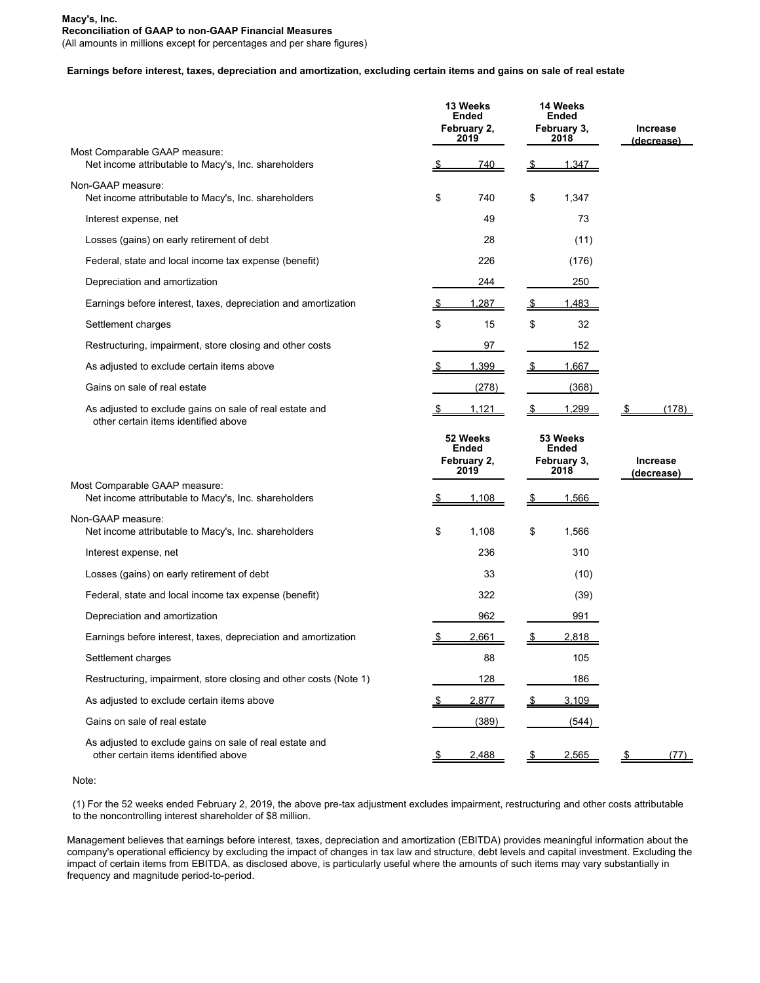(All amounts in millions except for percentages and per share figures)

## **Earnings before interest, taxes, depreciation and amortization, excluding certain items and gains on sale of real estate**

|                                                                                                 |          | 13 Weeks<br>Ended<br>February 2,<br>2019 |                                                 | 14 Weeks<br><b>Ended</b><br>February 3,<br>2018 | <b>Increase</b><br><u>(decrease)</u> |  |
|-------------------------------------------------------------------------------------------------|----------|------------------------------------------|-------------------------------------------------|-------------------------------------------------|--------------------------------------|--|
| Most Comparable GAAP measure:<br>Net income attributable to Macy's, Inc. shareholders           |          | 740                                      | \$                                              | 1,347                                           |                                      |  |
| Non-GAAP measure:<br>Net income attributable to Macy's, Inc. shareholders                       | \$       | 740                                      | \$                                              | 1,347                                           |                                      |  |
| Interest expense, net                                                                           |          | 49                                       |                                                 | 73                                              |                                      |  |
| Losses (gains) on early retirement of debt                                                      |          | 28                                       |                                                 | (11)                                            |                                      |  |
| Federal, state and local income tax expense (benefit)                                           |          | 226                                      |                                                 | (176)                                           |                                      |  |
| Depreciation and amortization                                                                   |          | 244                                      |                                                 | 250                                             |                                      |  |
| Earnings before interest, taxes, depreciation and amortization                                  |          | 1,287                                    |                                                 | 1,483                                           |                                      |  |
| Settlement charges                                                                              | \$       | 15                                       | \$                                              | 32                                              |                                      |  |
| Restructuring, impairment, store closing and other costs                                        |          | 97                                       |                                                 | 152                                             |                                      |  |
| As adjusted to exclude certain items above                                                      |          | 1,399                                    |                                                 | 1,667                                           |                                      |  |
| Gains on sale of real estate                                                                    |          | (278)                                    |                                                 | (368)                                           |                                      |  |
| As adjusted to exclude gains on sale of real estate and<br>other certain items identified above |          | 1.121                                    |                                                 | 1.299                                           | (178)<br>S.                          |  |
| 52 Weeks<br><b>Ended</b><br>February 2,                                                         |          | 2019                                     | 53 Weeks<br><b>Ended</b><br>February 3,<br>2018 |                                                 | <b>Increase</b><br>(decreaseː        |  |
| Most Comparable GAAP measure:<br>Net income attributable to Macy's, Inc. shareholders           |          | 1.108                                    | S.                                              | <u>1.566 </u>                                   |                                      |  |
| Non-GAAP measure:<br>Net income attributable to Macy's, Inc. shareholders                       | \$       | 1,108                                    | \$                                              | 1,566                                           |                                      |  |
| Interest expense, net                                                                           |          | 236                                      |                                                 | 310                                             |                                      |  |
| Losses (gains) on early retirement of debt                                                      |          | 33                                       |                                                 | (10)                                            |                                      |  |
| Federal, state and local income tax expense (benefit)                                           |          | 322                                      |                                                 | (39)                                            |                                      |  |
| Depreciation and amortization                                                                   |          | 962                                      |                                                 | 991                                             |                                      |  |
| Earnings before interest, taxes, depreciation and amortization                                  | <u>ა</u> | 2,661                                    |                                                 | 2,818                                           |                                      |  |
| Settlement charges                                                                              |          | 88                                       |                                                 | 105                                             |                                      |  |
| Restructuring, impairment, store closing and other costs (Note 1)                               |          | 128                                      |                                                 | 186                                             |                                      |  |
| As adjusted to exclude certain items above                                                      |          | 2,877                                    | S                                               | 3,109                                           |                                      |  |
| Gains on sale of real estate                                                                    |          | (389)                                    |                                                 | (544)                                           |                                      |  |
| As adjusted to exclude gains on sale of real estate and<br>other certain items identified above | <u>ক</u> | 2.488                                    | <u>\$</u>                                       | <u>2.565</u>                                    | (77)<br><u>\$</u>                    |  |

Note:

(1) For the 52 weeks ended February 2, 2019, the above pre-tax adjustment excludes impairment, restructuring and other costs attributable to the noncontrolling interest shareholder of \$8 million.

Management believes that earnings before interest, taxes, depreciation and amortization (EBITDA) provides meaningful information about the company's operational efficiency by excluding the impact of changes in tax law and structure, debt levels and capital investment. Excluding the impact of certain items from EBITDA, as disclosed above, is particularly useful where the amounts of such items may vary substantially in frequency and magnitude period-to-period.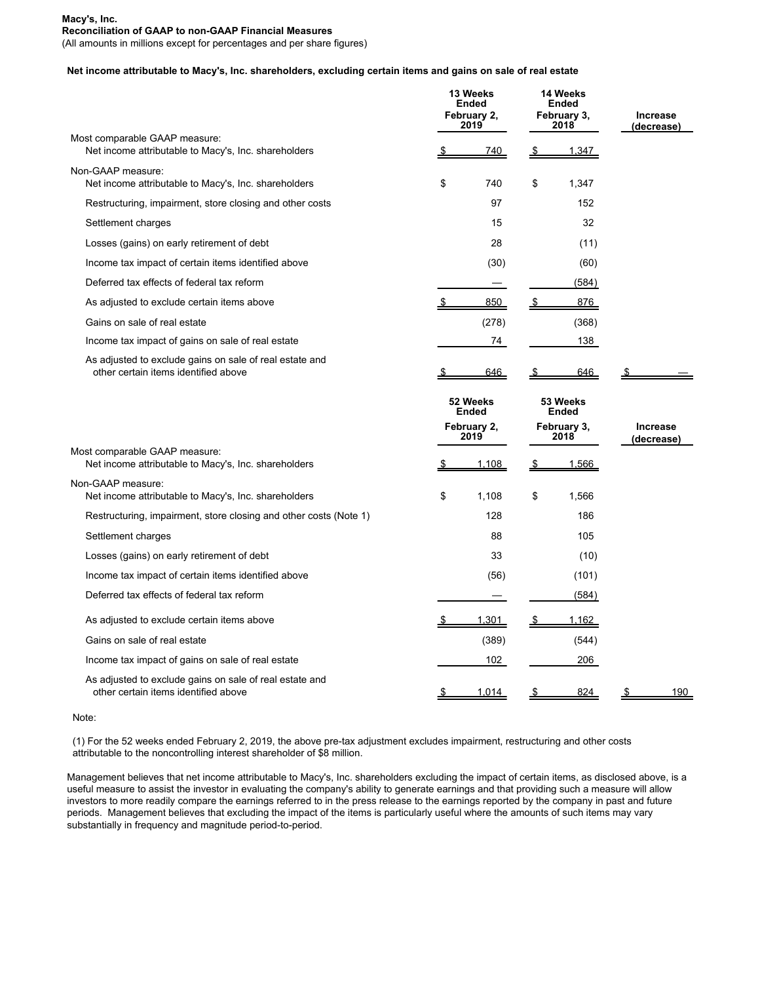(All amounts in millions except for percentages and per share figures)

## **Net income attributable to Macy's, Inc. shareholders, excluding certain items and gains on sale of real estate**

|                                                                                                 |                     | 13 Weeks<br>Ended<br>February 2,<br>2019 |                     | 14 Weeks<br>Ended<br>February 3,<br>2018 | <b>Increase</b><br>(decrease) |  |
|-------------------------------------------------------------------------------------------------|---------------------|------------------------------------------|---------------------|------------------------------------------|-------------------------------|--|
| Most comparable GAAP measure:<br>Net income attributable to Macy's, Inc. shareholders           |                     | 740                                      |                     | 1,347                                    |                               |  |
| Non-GAAP measure:<br>Net income attributable to Macy's, Inc. shareholders                       | \$                  | 740                                      | \$                  | 1,347                                    |                               |  |
| Restructuring, impairment, store closing and other costs                                        |                     | 97                                       |                     | 152                                      |                               |  |
| Settlement charges                                                                              |                     | 15                                       |                     | 32                                       |                               |  |
| Losses (gains) on early retirement of debt                                                      |                     | 28                                       |                     | (11)                                     |                               |  |
| Income tax impact of certain items identified above                                             |                     | (30)                                     |                     | (60)                                     |                               |  |
| Deferred tax effects of federal tax reform                                                      |                     |                                          |                     | (584)                                    |                               |  |
| As adjusted to exclude certain items above                                                      |                     | 850                                      |                     | 876                                      |                               |  |
| Gains on sale of real estate                                                                    |                     | (278)                                    |                     | (368)                                    |                               |  |
| Income tax impact of gains on sale of real estate                                               |                     | 74                                       |                     | 138                                      |                               |  |
| As adjusted to exclude gains on sale of real estate and<br>other certain items identified above |                     | 646                                      |                     | 646                                      | \$                            |  |
|                                                                                                 |                     | 52 Weeks<br>Ended                        |                     | 53 Weeks<br><b>Ended</b>                 |                               |  |
|                                                                                                 | February 2,<br>2019 |                                          | February 3,<br>2018 |                                          | <b>Increase</b>               |  |
| Most comparable GAAP measure:<br>Net income attributable to Macy's, Inc. shareholders           |                     | 1,108                                    | \$                  | 1,566                                    | (decrease)                    |  |
| Non-GAAP measure:                                                                               |                     |                                          |                     |                                          |                               |  |
| Net income attributable to Macy's, Inc. shareholders                                            | \$                  | 1,108                                    | \$                  | 1,566                                    |                               |  |
| Restructuring, impairment, store closing and other costs (Note 1)                               |                     | 128                                      |                     | 186                                      |                               |  |
| Settlement charges                                                                              |                     | 88                                       |                     | 105                                      |                               |  |
| Losses (gains) on early retirement of debt                                                      |                     | 33                                       |                     | (10)                                     |                               |  |
| Income tax impact of certain items identified above                                             |                     | (56)                                     |                     | (101)                                    |                               |  |
| Deferred tax effects of federal tax reform                                                      |                     |                                          |                     | (584)                                    |                               |  |
| As adjusted to exclude certain items above                                                      |                     | 1,301                                    |                     | <u>1.162 </u>                            |                               |  |
| Gains on sale of real estate                                                                    |                     | (389)                                    |                     | (544)                                    |                               |  |
| Income tax impact of gains on sale of real estate                                               |                     | 102                                      |                     | 206                                      |                               |  |
| As adjusted to exclude gains on sale of real estate and<br>other certain items identified above | <u>\$</u>           | 1.014                                    | \$                  | 824                                      | 190<br>\$                     |  |

#### Note:

(1) For the 52 weeks ended February 2, 2019, the above pre-tax adjustment excludes impairment, restructuring and other costs attributable to the noncontrolling interest shareholder of \$8 million.

Management believes that net income attributable to Macy's, Inc. shareholders excluding the impact of certain items, as disclosed above, is a useful measure to assist the investor in evaluating the company's ability to generate earnings and that providing such a measure will allow investors to more readily compare the earnings referred to in the press release to the earnings reported by the company in past and future periods. Management believes that excluding the impact of the items is particularly useful where the amounts of such items may vary substantially in frequency and magnitude period-to-period.